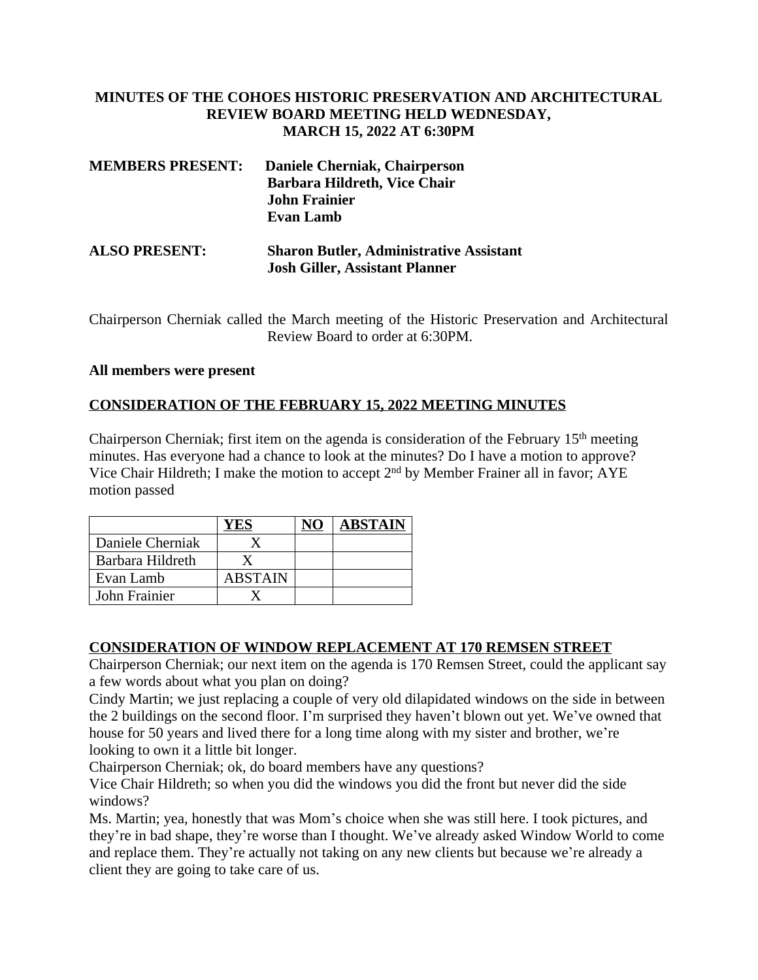## **MINUTES OF THE COHOES HISTORIC PRESERVATION AND ARCHITECTURAL REVIEW BOARD MEETING HELD WEDNESDAY, MARCH 15, 2022 AT 6:30PM**

| <b>MEMBERS PRESENT:</b> | Daniele Cherniak, Chairperson<br>Barbara Hildreth, Vice Chair<br><b>John Frainier</b><br><b>Evan Lamb</b> |  |
|-------------------------|-----------------------------------------------------------------------------------------------------------|--|
| <b>ALSO PRESENT:</b>    | <b>Sharon Butler, Administrative Assistant</b><br><b>Josh Giller, Assistant Planner</b>                   |  |

Chairperson Cherniak called the March meeting of the Historic Preservation and Architectural Review Board to order at 6:30PM.

#### **All members were present**

## **CONSIDERATION OF THE FEBRUARY 15, 2022 MEETING MINUTES**

Chairperson Cherniak; first item on the agenda is consideration of the February  $15<sup>th</sup>$  meeting minutes. Has everyone had a chance to look at the minutes? Do I have a motion to approve? Vice Chair Hildreth; I make the motion to accept 2nd by Member Frainer all in favor; AYE motion passed

|                  |         | <b>ABSTAIN</b> |
|------------------|---------|----------------|
| Daniele Cherniak |         |                |
| Barbara Hildreth |         |                |
| Evan Lamb        | ABSTAIN |                |
| John Frainier    |         |                |

#### **CONSIDERATION OF WINDOW REPLACEMENT AT 170 REMSEN STREET**

Chairperson Cherniak; our next item on the agenda is 170 Remsen Street, could the applicant say a few words about what you plan on doing?

Cindy Martin; we just replacing a couple of very old dilapidated windows on the side in between the 2 buildings on the second floor. I'm surprised they haven't blown out yet. We've owned that house for 50 years and lived there for a long time along with my sister and brother, we're looking to own it a little bit longer.

Chairperson Cherniak; ok, do board members have any questions?

Vice Chair Hildreth; so when you did the windows you did the front but never did the side windows?

Ms. Martin; yea, honestly that was Mom's choice when she was still here. I took pictures, and they're in bad shape, they're worse than I thought. We've already asked Window World to come and replace them. They're actually not taking on any new clients but because we're already a client they are going to take care of us.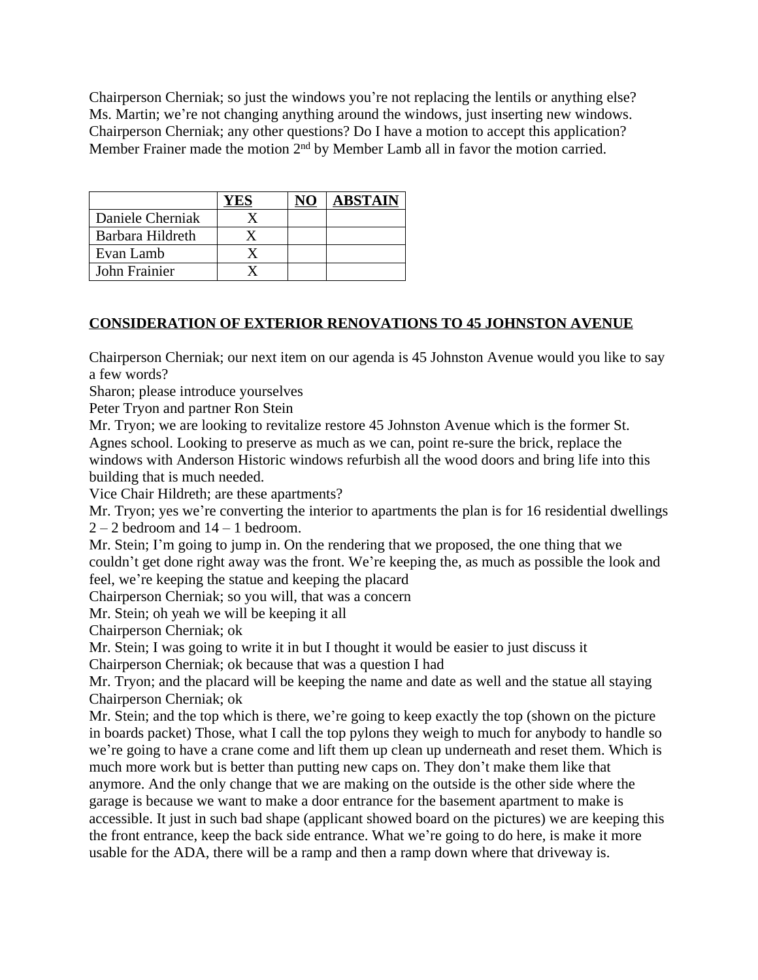Chairperson Cherniak; so just the windows you're not replacing the lentils or anything else? Ms. Martin; we're not changing anything around the windows, just inserting new windows. Chairperson Cherniak; any other questions? Do I have a motion to accept this application? Member Frainer made the motion 2<sup>nd</sup> by Member Lamb all in favor the motion carried.

|                  |  | <b>ABSTAIN</b> |
|------------------|--|----------------|
| Daniele Cherniak |  |                |
| Barbara Hildreth |  |                |
| Evan Lamb        |  |                |
| John Frainier    |  |                |

# **CONSIDERATION OF EXTERIOR RENOVATIONS TO 45 JOHNSTON AVENUE**

Chairperson Cherniak; our next item on our agenda is 45 Johnston Avenue would you like to say a few words?

Sharon; please introduce yourselves

Peter Tryon and partner Ron Stein

Mr. Tryon; we are looking to revitalize restore 45 Johnston Avenue which is the former St. Agnes school. Looking to preserve as much as we can, point re-sure the brick, replace the windows with Anderson Historic windows refurbish all the wood doors and bring life into this building that is much needed.

Vice Chair Hildreth; are these apartments?

Mr. Tryon; yes we're converting the interior to apartments the plan is for 16 residential dwellings  $2 - 2$  bedroom and  $14 - 1$  bedroom.

Mr. Stein; I'm going to jump in. On the rendering that we proposed, the one thing that we couldn't get done right away was the front. We're keeping the, as much as possible the look and feel, we're keeping the statue and keeping the placard

Chairperson Cherniak; so you will, that was a concern

Mr. Stein; oh yeah we will be keeping it all

Chairperson Cherniak; ok

Mr. Stein; I was going to write it in but I thought it would be easier to just discuss it Chairperson Cherniak; ok because that was a question I had

Mr. Tryon; and the placard will be keeping the name and date as well and the statue all staying Chairperson Cherniak; ok

Mr. Stein; and the top which is there, we're going to keep exactly the top (shown on the picture in boards packet) Those, what I call the top pylons they weigh to much for anybody to handle so we're going to have a crane come and lift them up clean up underneath and reset them. Which is much more work but is better than putting new caps on. They don't make them like that anymore. And the only change that we are making on the outside is the other side where the garage is because we want to make a door entrance for the basement apartment to make is accessible. It just in such bad shape (applicant showed board on the pictures) we are keeping this the front entrance, keep the back side entrance. What we're going to do here, is make it more usable for the ADA, there will be a ramp and then a ramp down where that driveway is.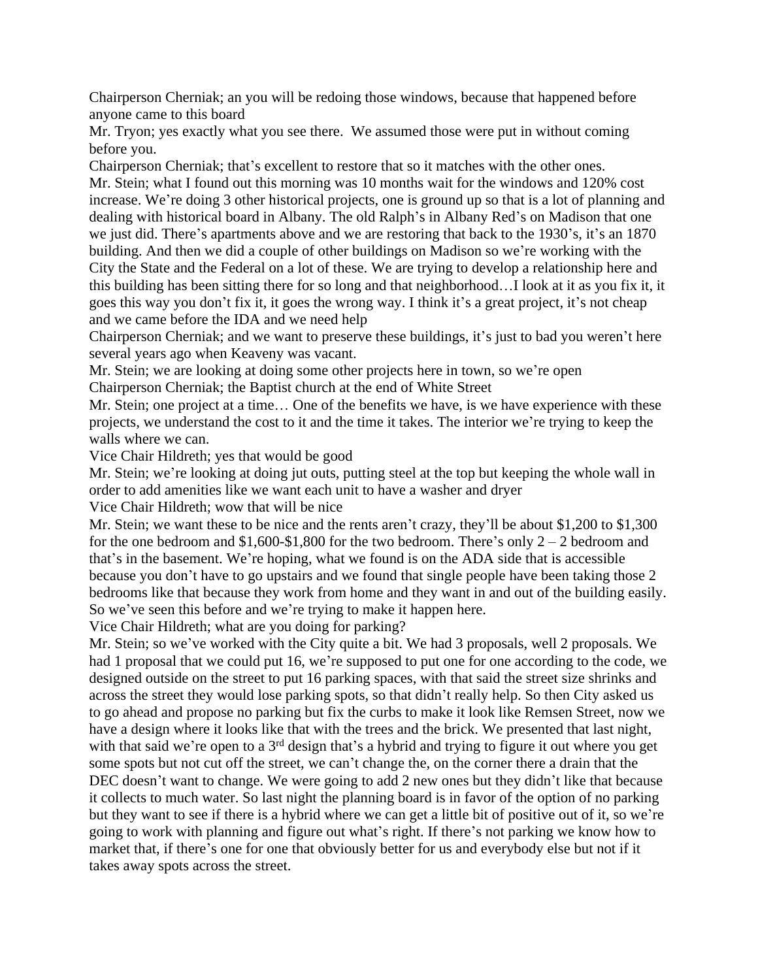Chairperson Cherniak; an you will be redoing those windows, because that happened before anyone came to this board

Mr. Tryon; yes exactly what you see there. We assumed those were put in without coming before you.

Chairperson Cherniak; that's excellent to restore that so it matches with the other ones. Mr. Stein; what I found out this morning was 10 months wait for the windows and 120% cost increase. We're doing 3 other historical projects, one is ground up so that is a lot of planning and dealing with historical board in Albany. The old Ralph's in Albany Red's on Madison that one we just did. There's apartments above and we are restoring that back to the 1930's, it's an 1870 building. And then we did a couple of other buildings on Madison so we're working with the City the State and the Federal on a lot of these. We are trying to develop a relationship here and this building has been sitting there for so long and that neighborhood…I look at it as you fix it, it goes this way you don't fix it, it goes the wrong way. I think it's a great project, it's not cheap and we came before the IDA and we need help

Chairperson Cherniak; and we want to preserve these buildings, it's just to bad you weren't here several years ago when Keaveny was vacant.

Mr. Stein; we are looking at doing some other projects here in town, so we're open Chairperson Cherniak; the Baptist church at the end of White Street

Mr. Stein; one project at a time… One of the benefits we have, is we have experience with these projects, we understand the cost to it and the time it takes. The interior we're trying to keep the walls where we can.

Vice Chair Hildreth; yes that would be good

Mr. Stein; we're looking at doing jut outs, putting steel at the top but keeping the whole wall in order to add amenities like we want each unit to have a washer and dryer

Vice Chair Hildreth; wow that will be nice

Mr. Stein; we want these to be nice and the rents aren't crazy, they'll be about \$1,200 to \$1,300 for the one bedroom and \$1,600-\$1,800 for the two bedroom. There's only  $2 - 2$  bedroom and that's in the basement. We're hoping, what we found is on the ADA side that is accessible because you don't have to go upstairs and we found that single people have been taking those 2 bedrooms like that because they work from home and they want in and out of the building easily. So we've seen this before and we're trying to make it happen here.

Vice Chair Hildreth; what are you doing for parking?

Mr. Stein; so we've worked with the City quite a bit. We had 3 proposals, well 2 proposals. We had 1 proposal that we could put 16, we're supposed to put one for one according to the code, we designed outside on the street to put 16 parking spaces, with that said the street size shrinks and across the street they would lose parking spots, so that didn't really help. So then City asked us to go ahead and propose no parking but fix the curbs to make it look like Remsen Street, now we have a design where it looks like that with the trees and the brick. We presented that last night, with that said we're open to a 3<sup>rd</sup> design that's a hybrid and trying to figure it out where you get some spots but not cut off the street, we can't change the, on the corner there a drain that the DEC doesn't want to change. We were going to add 2 new ones but they didn't like that because it collects to much water. So last night the planning board is in favor of the option of no parking but they want to see if there is a hybrid where we can get a little bit of positive out of it, so we're going to work with planning and figure out what's right. If there's not parking we know how to market that, if there's one for one that obviously better for us and everybody else but not if it takes away spots across the street.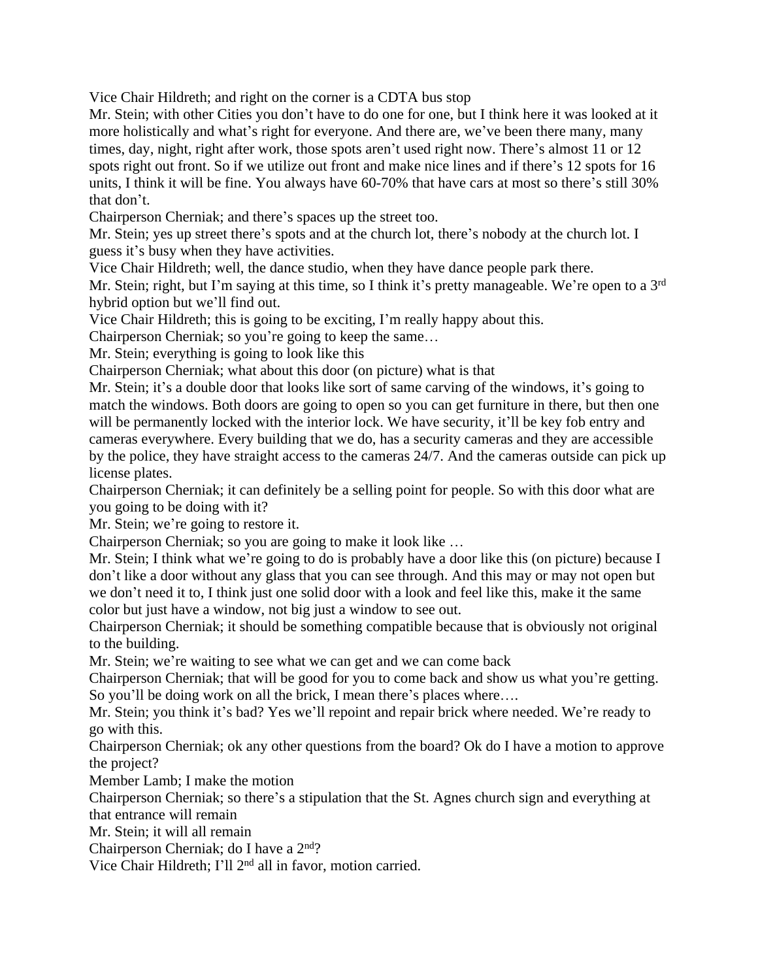Vice Chair Hildreth; and right on the corner is a CDTA bus stop

Mr. Stein; with other Cities you don't have to do one for one, but I think here it was looked at it more holistically and what's right for everyone. And there are, we've been there many, many times, day, night, right after work, those spots aren't used right now. There's almost 11 or 12 spots right out front. So if we utilize out front and make nice lines and if there's 12 spots for 16 units, I think it will be fine. You always have 60-70% that have cars at most so there's still 30% that don't.

Chairperson Cherniak; and there's spaces up the street too.

Mr. Stein; yes up street there's spots and at the church lot, there's nobody at the church lot. I guess it's busy when they have activities.

Vice Chair Hildreth; well, the dance studio, when they have dance people park there.

Mr. Stein; right, but I'm saying at this time, so I think it's pretty manageable. We're open to a 3rd hybrid option but we'll find out.

Vice Chair Hildreth; this is going to be exciting, I'm really happy about this.

Chairperson Cherniak; so you're going to keep the same…

Mr. Stein; everything is going to look like this

Chairperson Cherniak; what about this door (on picture) what is that

Mr. Stein; it's a double door that looks like sort of same carving of the windows, it's going to match the windows. Both doors are going to open so you can get furniture in there, but then one will be permanently locked with the interior lock. We have security, it'll be key fob entry and cameras everywhere. Every building that we do, has a security cameras and they are accessible by the police, they have straight access to the cameras 24/7. And the cameras outside can pick up license plates.

Chairperson Cherniak; it can definitely be a selling point for people. So with this door what are you going to be doing with it?

Mr. Stein; we're going to restore it.

Chairperson Cherniak; so you are going to make it look like …

Mr. Stein; I think what we're going to do is probably have a door like this (on picture) because I don't like a door without any glass that you can see through. And this may or may not open but we don't need it to, I think just one solid door with a look and feel like this, make it the same color but just have a window, not big just a window to see out.

Chairperson Cherniak; it should be something compatible because that is obviously not original to the building.

Mr. Stein; we're waiting to see what we can get and we can come back

Chairperson Cherniak; that will be good for you to come back and show us what you're getting. So you'll be doing work on all the brick, I mean there's places where....

Mr. Stein; you think it's bad? Yes we'll repoint and repair brick where needed. We're ready to go with this.

Chairperson Cherniak; ok any other questions from the board? Ok do I have a motion to approve the project?

Member Lamb; I make the motion

Chairperson Cherniak; so there's a stipulation that the St. Agnes church sign and everything at that entrance will remain

Mr. Stein; it will all remain

Chairperson Cherniak; do I have a 2<sup>nd</sup>?

Vice Chair Hildreth; I'll 2nd all in favor, motion carried.